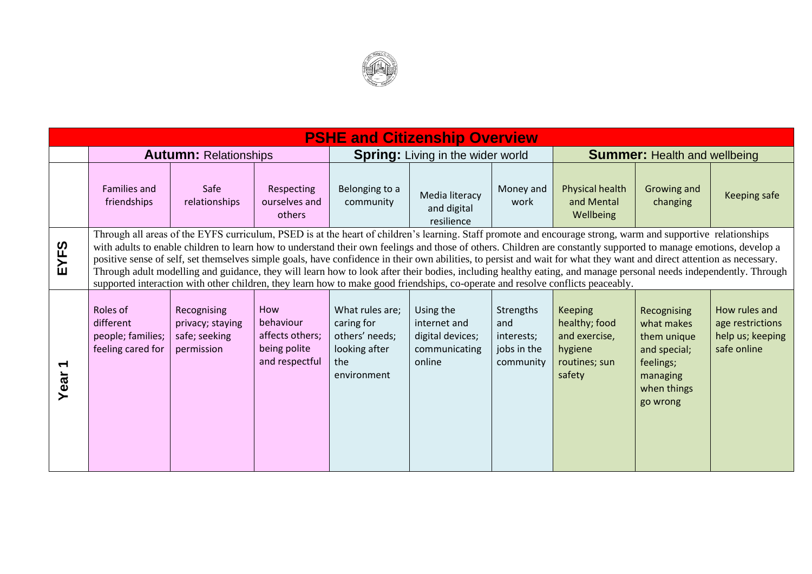

| <b>PSHE and Citizenship Overview</b> |                                                                                                                                                                                                                                                                                                                                                                                                                                                                                                                                                                                                                                                                                                                                                                                                                    |                                                                |                                                                       |                                                                                        |                                                                          |                                                            |                                                                                        |                                                                                                              |                                                                      |
|--------------------------------------|--------------------------------------------------------------------------------------------------------------------------------------------------------------------------------------------------------------------------------------------------------------------------------------------------------------------------------------------------------------------------------------------------------------------------------------------------------------------------------------------------------------------------------------------------------------------------------------------------------------------------------------------------------------------------------------------------------------------------------------------------------------------------------------------------------------------|----------------------------------------------------------------|-----------------------------------------------------------------------|----------------------------------------------------------------------------------------|--------------------------------------------------------------------------|------------------------------------------------------------|----------------------------------------------------------------------------------------|--------------------------------------------------------------------------------------------------------------|----------------------------------------------------------------------|
|                                      | <b>Autumn: Relationships</b>                                                                                                                                                                                                                                                                                                                                                                                                                                                                                                                                                                                                                                                                                                                                                                                       |                                                                |                                                                       | <b>Spring:</b> Living in the wider world                                               |                                                                          |                                                            | <b>Summer: Health and wellbeing</b>                                                    |                                                                                                              |                                                                      |
|                                      | <b>Families and</b><br>friendships                                                                                                                                                                                                                                                                                                                                                                                                                                                                                                                                                                                                                                                                                                                                                                                 | Safe<br>relationships                                          | Respecting<br>ourselves and<br>others                                 | Belonging to a<br>community                                                            | Media literacy<br>and digital<br>resilience                              | Money and<br>work                                          | Physical health<br>and Mental<br>Wellbeing                                             | Growing and<br>changing                                                                                      | Keeping safe                                                         |
| EYFS                                 | Through all areas of the EYFS curriculum, PSED is at the heart of children's learning. Staff promote and encourage strong, warm and supportive relationships<br>with adults to enable children to learn how to understand their own feelings and those of others. Children are constantly supported to manage emotions, develop a<br>positive sense of self, set themselves simple goals, have confidence in their own abilities, to persist and wait for what they want and direct attention as necessary.<br>Through adult modelling and guidance, they will learn how to look after their bodies, including healthy eating, and manage personal needs independently. Through<br>supported interaction with other children, they learn how to make good friendships, co-operate and resolve conflicts peaceably. |                                                                |                                                                       |                                                                                        |                                                                          |                                                            |                                                                                        |                                                                                                              |                                                                      |
| $\blacktriangledown$<br>Year         | Roles of<br>different<br>people; families;<br>feeling cared for                                                                                                                                                                                                                                                                                                                                                                                                                                                                                                                                                                                                                                                                                                                                                    | Recognising<br>privacy; staying<br>safe; seeking<br>permission | How<br>behaviour<br>affects others;<br>being polite<br>and respectful | What rules are;<br>caring for<br>others' needs;<br>looking after<br>the<br>environment | Using the<br>internet and<br>digital devices;<br>communicating<br>online | Strengths<br>and<br>interests;<br>jobs in the<br>community | <b>Keeping</b><br>healthy; food<br>and exercise,<br>hygiene<br>routines; sun<br>safety | Recognising<br>what makes<br>them unique<br>and special;<br>feelings;<br>managing<br>when things<br>go wrong | How rules and<br>age restrictions<br>help us; keeping<br>safe online |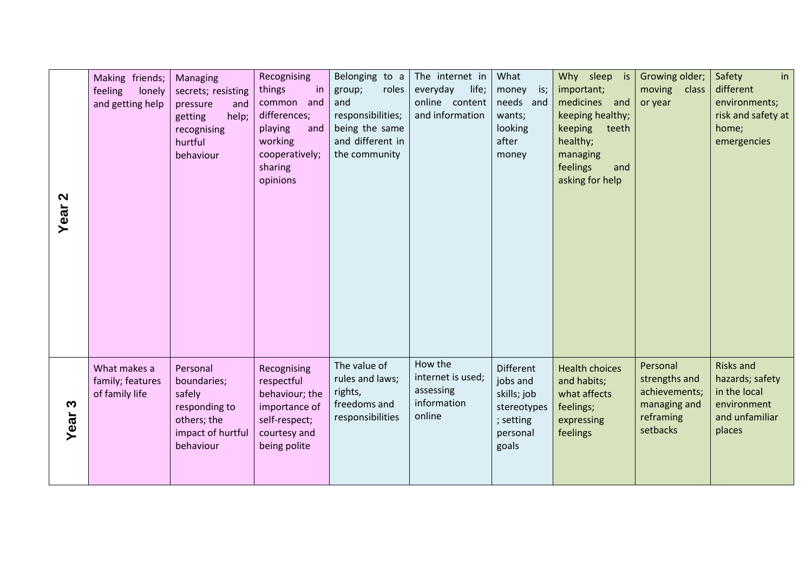| $\mathbf{\Omega}$<br>Year | Making friends;<br>feeling<br>lonely<br>and getting help | Managing<br>secrets; resisting<br>pressure<br>and<br>help;<br>getting<br>recognising<br>hurtful<br>behaviour | Recognising<br>in<br>things<br>common and<br>differences;<br>playing<br>and<br>working<br>cooperatively;<br>sharing<br>opinions | Belonging to a<br>roles<br>group;<br>and<br>responsibilities;<br>being the same<br>and different in<br>the community | The internet in<br>everyday<br>life;<br>online content<br>and information | What<br>is;<br>money<br>needs and<br>wants;<br>looking<br>after<br>money                     | Why sleep is<br>important;<br>medicines<br>and<br>keeping healthy;<br>keeping<br>teeth<br>healthy;<br>managing<br>feelings<br>and<br>asking for help | Growing older;<br>moving<br>class<br>or year                                        | in<br>Safety<br>different<br>environments;<br>risk and safety at<br>home;<br>emergencies       |
|---------------------------|----------------------------------------------------------|--------------------------------------------------------------------------------------------------------------|---------------------------------------------------------------------------------------------------------------------------------|----------------------------------------------------------------------------------------------------------------------|---------------------------------------------------------------------------|----------------------------------------------------------------------------------------------|------------------------------------------------------------------------------------------------------------------------------------------------------|-------------------------------------------------------------------------------------|------------------------------------------------------------------------------------------------|
| S<br>Year                 | What makes a<br>family; features<br>of family life       | Personal<br>boundaries;<br>safely<br>responding to<br>others; the<br>impact of hurtful<br>behaviour          | Recognising<br>respectful<br>behaviour; the<br>importance of<br>self-respect;<br>courtesy and<br>being polite                   | The value of<br>rules and laws;<br>rights,<br>freedoms and<br>responsibilities                                       | How the<br>internet is used;<br>assessing<br>information<br>online        | <b>Different</b><br>jobs and<br>skills; job<br>stereotypes<br>; setting<br>personal<br>goals | <b>Health choices</b><br>and habits;<br>what affects<br>feelings;<br>expressing<br>feelings                                                          | Personal<br>strengths and<br>achievements;<br>managing and<br>reframing<br>setbacks | <b>Risks and</b><br>hazards; safety<br>in the local<br>environment<br>and unfamiliar<br>places |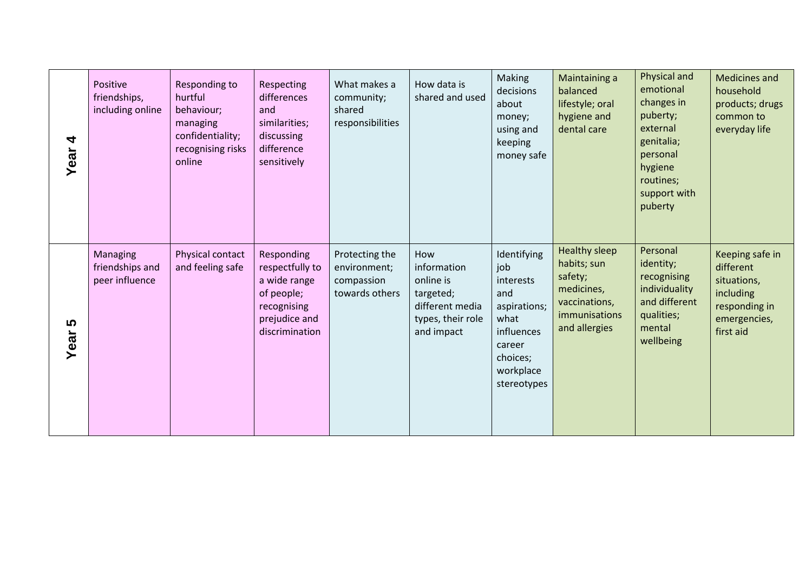| 4<br>Year | Positive<br>friendships,<br>including online  | Responding to<br>hurtful<br>behaviour;<br>managing<br>confidentiality;<br>recognising risks<br>online | Respecting<br>differences<br>and<br>similarities;<br>discussing<br>difference<br>sensitively                  | What makes a<br>community;<br>shared<br>responsibilities       | How data is<br>shared and used                                                                     | Making<br>decisions<br>about<br>money;<br>using and<br>keeping<br>money safe                                                   | Maintaining a<br>balanced<br>lifestyle; oral<br>hygiene and<br>dental care                               | Physical and<br>emotional<br>changes in<br>puberty;<br>external<br>genitalia;<br>personal<br>hygiene<br>routines;<br>support with<br>puberty | Medicines and<br>household<br>products; drugs<br>common to<br>everyday life                            |
|-----------|-----------------------------------------------|-------------------------------------------------------------------------------------------------------|---------------------------------------------------------------------------------------------------------------|----------------------------------------------------------------|----------------------------------------------------------------------------------------------------|--------------------------------------------------------------------------------------------------------------------------------|----------------------------------------------------------------------------------------------------------|----------------------------------------------------------------------------------------------------------------------------------------------|--------------------------------------------------------------------------------------------------------|
| 5<br>Year | Managing<br>friendships and<br>peer influence | Physical contact<br>and feeling safe                                                                  | Responding<br>respectfully to<br>a wide range<br>of people;<br>recognising<br>prejudice and<br>discrimination | Protecting the<br>environment;<br>compassion<br>towards others | How<br>information<br>online is<br>targeted;<br>different media<br>types, their role<br>and impact | Identifying<br>job<br>interests<br>and<br>aspirations;<br>what<br>influences<br>career<br>choices;<br>workplace<br>stereotypes | Healthy sleep<br>habits; sun<br>safety;<br>medicines,<br>vaccinations,<br>immunisations<br>and allergies | Personal<br>identity;<br>recognising<br>individuality<br>and different<br>qualities;<br>mental<br>wellbeing                                  | Keeping safe in<br>different<br>situations,<br>including<br>responding in<br>emergencies,<br>first aid |